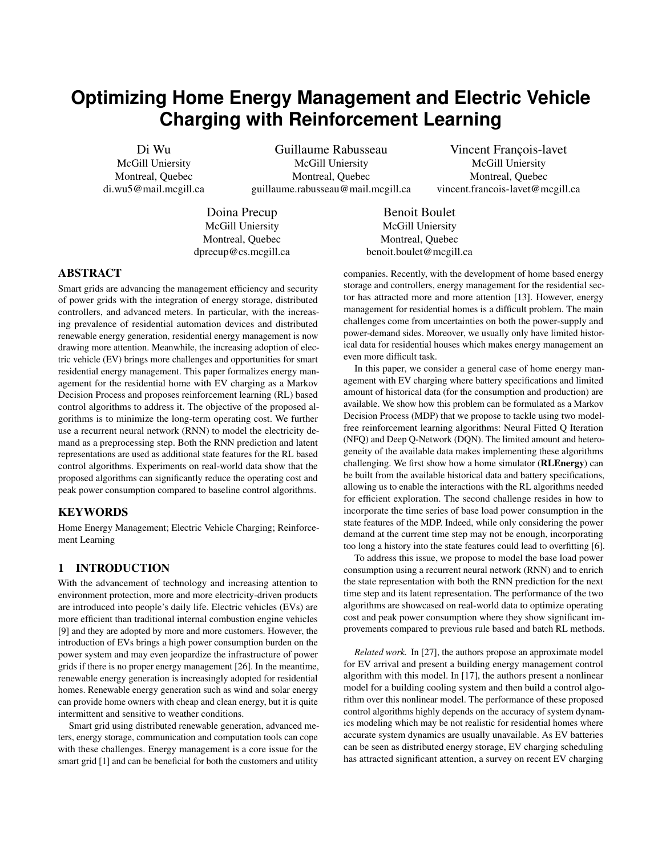# **Optimizing Home Energy Management and Electric Vehicle Charging with Reinforcement Learning**

Di Wu McGill Uniersity Montreal, Quebec di.wu5@mail.mcgill.ca

Guillaume Rabusseau McGill Uniersity Montreal, Quebec guillaume.rabusseau@mail.mcgill.ca

Vincent François-lavet McGill Uniersity Montreal, Quebec vincent.francois-lavet@mcgill.ca

Doina Precup McGill Uniersity Montreal, Quebec dprecup@cs.mcgill.ca

Benoit Boulet McGill Uniersity Montreal, Quebec benoit.boulet@mcgill.ca

# ABSTRACT

Smart grids are advancing the management efficiency and security of power grids with the integration of energy storage, distributed controllers, and advanced meters. In particular, with the increasing prevalence of residential automation devices and distributed renewable energy generation, residential energy management is now drawing more attention. Meanwhile, the increasing adoption of electric vehicle (EV) brings more challenges and opportunities for smart residential energy management. This paper formalizes energy management for the residential home with EV charging as a Markov Decision Process and proposes reinforcement learning (RL) based control algorithms to address it. The objective of the proposed algorithms is to minimize the long-term operating cost. We further use a recurrent neural network (RNN) to model the electricity demand as a preprocessing step. Both the RNN prediction and latent representations are used as additional state features for the RL based control algorithms. Experiments on real-world data show that the proposed algorithms can significantly reduce the operating cost and peak power consumption compared to baseline control algorithms.

# **KEYWORDS**

Home Energy Management; Electric Vehicle Charging; Reinforcement Learning

## 1 INTRODUCTION

With the advancement of technology and increasing attention to environment protection, more and more electricity-driven products are introduced into people's daily life. Electric vehicles (EVs) are more efficient than traditional internal combustion engine vehicles [\[9\]](#page-7-0) and they are adopted by more and more customers. However, the introduction of EVs brings a high power consumption burden on the power system and may even jeopardize the infrastructure of power grids if there is no proper energy management [\[26\]](#page-7-1). In the meantime, renewable energy generation is increasingly adopted for residential homes. Renewable energy generation such as wind and solar energy can provide home owners with cheap and clean energy, but it is quite intermittent and sensitive to weather conditions.

Smart grid using distributed renewable generation, advanced meters, energy storage, communication and computation tools can cope with these challenges. Energy management is a core issue for the smart grid [\[1\]](#page-7-2) and can be beneficial for both the customers and utility

companies. Recently, with the development of home based energy storage and controllers, energy management for the residential sector has attracted more and more attention [\[13\]](#page-7-3). However, energy management for residential homes is a difficult problem. The main challenges come from uncertainties on both the power-supply and power-demand sides. Moreover, we usually only have limited historical data for residential houses which makes energy management an even more difficult task.

In this paper, we consider a general case of home energy management with EV charging where battery specifications and limited amount of historical data (for the consumption and production) are available. We show how this problem can be formulated as a Markov Decision Process (MDP) that we propose to tackle using two modelfree reinforcement learning algorithms: Neural Fitted Q Iteration (NFQ) and Deep Q-Network (DQN). The limited amount and heterogeneity of the available data makes implementing these algorithms challenging. We first show how a home simulator (RLEnergy) can be built from the available historical data and battery specifications, allowing us to enable the interactions with the RL algorithms needed for efficient exploration. The second challenge resides in how to incorporate the time series of base load power consumption in the state features of the MDP. Indeed, while only considering the power demand at the current time step may not be enough, incorporating too long a history into the state features could lead to overfitting [\[6\]](#page-7-4).

To address this issue, we propose to model the base load power consumption using a recurrent neural network (RNN) and to enrich the state representation with both the RNN prediction for the next time step and its latent representation. The performance of the two algorithms are showcased on real-world data to optimize operating cost and peak power consumption where they show significant improvements compared to previous rule based and batch RL methods.

*Related work.* In [\[27\]](#page-7-5), the authors propose an approximate model for EV arrival and present a building energy management control algorithm with this model. In [\[17\]](#page-7-6), the authors present a nonlinear model for a building cooling system and then build a control algorithm over this nonlinear model. The performance of these proposed control algorithms highly depends on the accuracy of system dynamics modeling which may be not realistic for residential homes where accurate system dynamics are usually unavailable. As EV batteries can be seen as distributed energy storage, EV charging scheduling has attracted significant attention, a survey on recent EV charging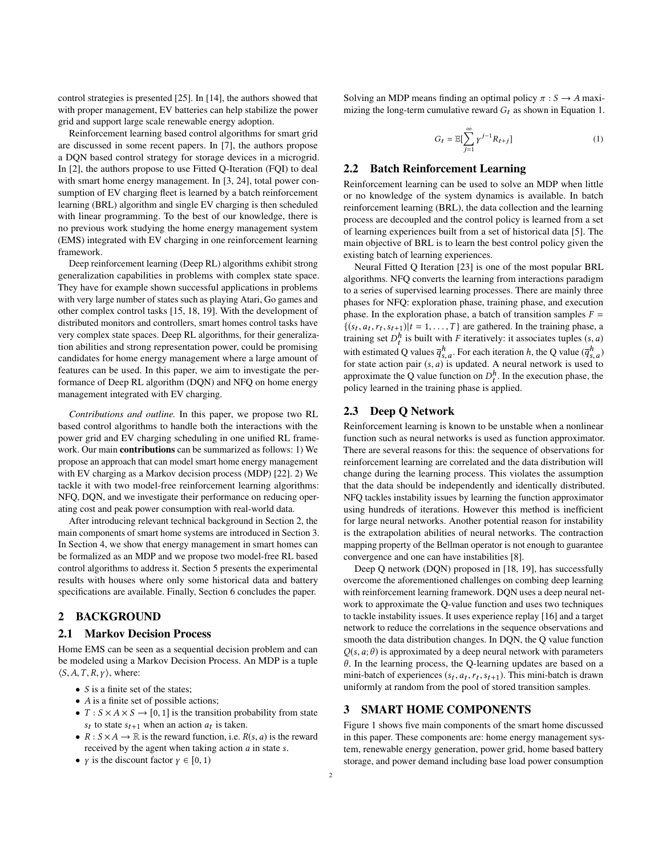control strategies is presented [\[25\]](#page-7-7). In [\[14\]](#page-7-8), the authors showed that with proper management, EV batteries can help stabilize the power grid and support large scale renewable energy adoption.

Reinforcement learning based control algorithms for smart grid are discussed in some recent papers. In [\[7\]](#page-7-9), the authors propose a DQN based control strategy for storage devices in a microgrid. In [\[2\]](#page-7-10), the authors propose to use Fitted Q-Iteration (FQI) to deal with smart home energy management. In [\[3,](#page-7-11) [24\]](#page-7-12), total power consumption of EV charging fleet is learned by a batch reinforcement learning (BRL) algorithm and single EV charging is then scheduled with linear programming. To the best of our knowledge, there is no previous work studying the home energy management system (EMS) integrated with EV charging in one reinforcement learning framework.

Deep reinforcement learning (Deep RL) algorithms exhibit strong generalization capabilities in problems with complex state space. They have for example shown successful applications in problems with very large number of states such as playing Atari, Go games and other complex control tasks [\[15,](#page-7-13) [18,](#page-7-14) [19\]](#page-7-15). With the development of distributed monitors and controllers, smart homes control tasks have very complex state spaces. Deep RL algorithms, for their generalization abilities and strong representation power, could be promising candidates for home energy management where a large amount of features can be used. In this paper, we aim to investigate the performance of Deep RL algorithm (DQN) and NFQ on home energy management integrated with EV charging.

*Contributions and outline.* In this paper, we propose two RL based control algorithms to handle both the interactions with the power grid and EV charging scheduling in one unified RL framework. Our main contributions can be summarized as follows: 1) We propose an approach that can model smart home energy management with EV charging as a Markov decision process (MDP) [\[22\]](#page-7-16). 2) We tackle it with two model-free reinforcement learning algorithms: NFQ, DQN, and we investigate their performance on reducing operating cost and peak power consumption with real-world data.

After introducing relevant technical background in Section [2,](#page-1-0) the main components of smart home systems are introduced in Section [3.](#page-1-1) In Section [4,](#page-2-0) we show that energy management in smart homes can be formalized as an MDP and we propose two model-free RL based control algorithms to address it. Section [5](#page-5-0) presents the experimental results with houses where only some historical data and battery specifications are available. Finally, Section [6](#page-6-0) concludes the paper.

### <span id="page-1-0"></span>2 BACKGROUND

#### 2.1 Markov Decision Process

Home EMS can be seen as a sequential decision problem and can be modeled using a Markov Decision Process. An MDP is a tuple  $\langle S, A, T, R, \gamma \rangle$ , where:

- $S$  is a finite set of the states;
- A is a finite set of possible actions;
- $T : S \times A \times S \rightarrow [0, 1]$  is the transition probability from state to state  $s_{t+1}$  when an action  $a_t$  is taken.<br> $S \times A \longrightarrow \mathbb{R}$  is the reward function i.e.  $B$
- $R: S \times A \rightarrow \mathbb{R}$  is the reward function, i.e.  $R(s, a)$  is the reward received by the agent when taking action a in state s.
- *γ* is the discount factor  $\gamma \in [0, 1)$

Solving an MDP means finding an optimal policy  $\pi : S \to A$  maximizing the long-term cumulative reward  $G_t$  as shown in Equation [1.](#page-1-2)

<span id="page-1-2"></span>
$$
G_t = \mathbb{E}[\sum_{j=1}^{\infty} Y^{j-1} R_{t+j}]
$$
 (1)

#### 2.2 Batch Reinforcement Learning

Reinforcement learning can be used to solve an MDP when little or no knowledge of the system dynamics is available. In batch reinforcement learning (BRL), the data collection and the learning process are decoupled and the control policy is learned from a set of learning experiences built from a set of historical data [\[5\]](#page-7-17). The main objective of BRL is to learn the best control policy given the existing batch of learning experiences.

Neural Fitted Q Iteration [\[23\]](#page-7-18) is one of the most popular BRL algorithms. NFQ converts the learning from interactions paradigm to a series of supervised learning processes. There are mainly three phases for NFQ: exploration phase, training phase, and execution phase. In the exploration phase, a batch of transition samples  $F =$  $\{(s_t, a_t, r_t, s_{t+1})|t = 1, \ldots, T\}$  are gathered. In the training phase, a training set  $D^h$  is built with E iteratively; it associates turles (c, a) training set  $D_t^h$  is built with F iteratively: it associates tuples (s, a) with estimated Q values  $\overline{q}_{h,a}^h$ . For each iteration h, the Q value  $(\overline{q}_{h,a}^h)$  for state action pair (s, a) is undated. A neural network is used to for state action pair  $(s, a)$  is updated. A neural network is used to approximate the O value function on  $D^h$ . In the execution phase, the approximate the Q value function on  $D_t^h$ . In the execution phase, the policy learned in the training phase is applied policy learned in the training phase is applied.

### 2.3 Deep Q Network

Reinforcement learning is known to be unstable when a nonlinear function such as neural networks is used as function approximator. There are several reasons for this: the sequence of observations for reinforcement learning are correlated and the data distribution will change during the learning process. This violates the assumption that the data should be independently and identically distributed. NFQ tackles instability issues by learning the function approximator using hundreds of iterations. However this method is inefficient for large neural networks. Another potential reason for instability is the extrapolation abilities of neural networks. The contraction mapping property of the Bellman operator is not enough to guarantee convergence and one can have instabilities [\[8\]](#page-7-19).

Deep Q network (DQN) proposed in [\[18,](#page-7-14) [19\]](#page-7-15), has successfully overcome the aforementioned challenges on combing deep learning with reinforcement learning framework. DQN uses a deep neural network to approximate the Q-value function and uses two techniques to tackle instability issues. It uses experience replay [\[16\]](#page-7-20) and a target network to reduce the correlations in the sequence observations and smooth the data distribution changes. In DQN, the Q value function  $Q(s, a; \theta)$  is approximated by a deep neural network with parameters  $\theta$ . In the learning process, the Q-learning updates are based on a mini-batch of experiences  $(s_t, a_t, r_t, s_{t+1})$ . This mini-batch is drawn<br>uniformly at random from the pool of stored transition samples  $\frac{1}{2}$ , and  $\frac{1}{2}$  are  $\frac{1}{2}$  and  $\frac{1}{2}$  and  $\frac{1}{2}$  and  $\frac{1}{2}$  and  $\frac{1}{2}$  and  $\frac{1}{2}$  and  $\frac{1}{2}$  and  $\frac{1}{2}$  and  $\frac{1}{2}$  and  $\frac{1}{2}$  and  $\frac{1}{2}$  and  $\frac{1}{2}$  and  $\frac{1}{2}$  and  $\frac{1}{2}$ 

### <span id="page-1-1"></span>3 SMART HOME COMPONENTS

Figure [1](#page-2-1) shows five main components of the smart home discussed in this paper. These components are: home energy management system, renewable energy generation, power grid, home based battery storage, and power demand including base load power consumption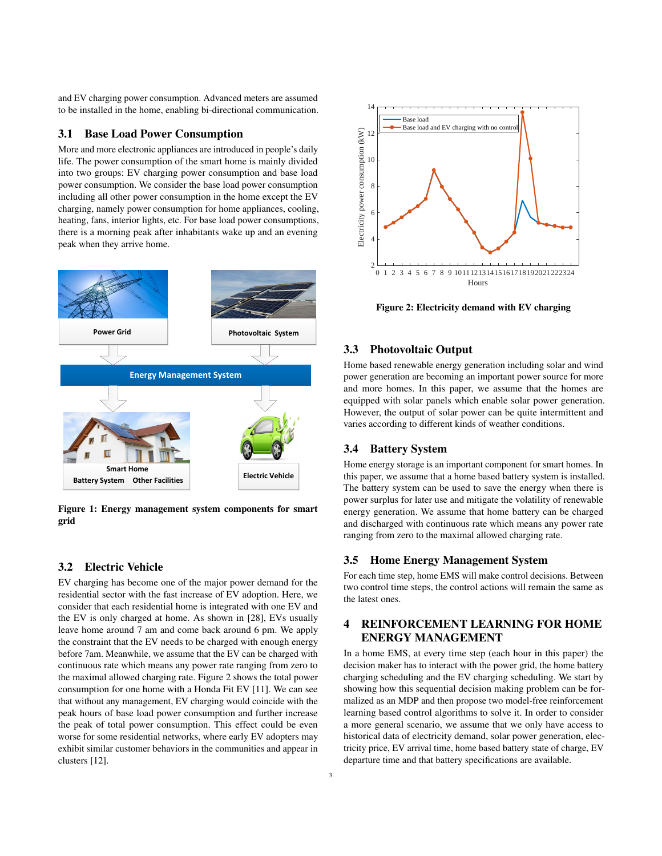and EV charging power consumption. Advanced meters are assumed to be installed in the home, enabling bi-directional communication.

#### 3.1 Base Load Power Consumption

More and more electronic appliances are introduced in people's daily life. The power consumption of the smart home is mainly divided into two groups: EV charging power consumption and base load power consumption. We consider the base load power consumption including all other power consumption in the home except the EV charging, namely power consumption for home appliances, cooling, heating, fans, interior lights, etc. For base load power consumptions, there is a morning peak after inhabitants wake up and an evening peak when they arrive home.

<span id="page-2-1"></span>

Figure 1: Energy management system components for smart grid

#### 3.2 Electric Vehicle

EV charging has become one of the major power demand for the residential sector with the fast increase of EV adoption. Here, we consider that each residential home is integrated with one EV and the EV is only charged at home. As shown in [\[28\]](#page-7-21), EVs usually leave home around 7 am and come back around 6 pm. We apply the constraint that the EV needs to be charged with enough energy before 7am. Meanwhile, we assume that the EV can be charged with continuous rate which means any power rate ranging from zero to the maximal allowed charging rate. Figure [2](#page-2-2) shows the total power consumption for one home with a Honda Fit EV [\[11\]](#page-7-22). We can see that without any management, EV charging would coincide with the peak hours of base load power consumption and further increase the peak of total power consumption. This effect could be even worse for some residential networks, where early EV adopters may exhibit similar customer behaviors in the communities and appear in clusters [\[12\]](#page-7-23).

<span id="page-2-2"></span>

Figure 2: Electricity demand with EV charging

### 3.3 Photovoltaic Output

Home based renewable energy generation including solar and wind power generation are becoming an important power source for more and more homes. In this paper, we assume that the homes are equipped with solar panels which enable solar power generation. However, the output of solar power can be quite intermittent and varies according to different kinds of weather conditions.

#### 3.4 Battery System

Home energy storage is an important component for smart homes. In this paper, we assume that a home based battery system is installed. The battery system can be used to save the energy when there is power surplus for later use and mitigate the volatility of renewable energy generation. We assume that home battery can be charged and discharged with continuous rate which means any power rate ranging from zero to the maximal allowed charging rate.

### 3.5 Home Energy Management System

For each time step, home EMS will make control decisions. Between two control time steps, the control actions will remain the same as the latest ones.

# <span id="page-2-0"></span>4 REINFORCEMENT LEARNING FOR HOME ENERGY MANAGEMENT

In a home EMS, at every time step (each hour in this paper) the decision maker has to interact with the power grid, the home battery charging scheduling and the EV charging scheduling. We start by showing how this sequential decision making problem can be formalized as an MDP and then propose two model-free reinforcement learning based control algorithms to solve it. In order to consider a more general scenario, we assume that we only have access to historical data of electricity demand, solar power generation, electricity price, EV arrival time, home based battery state of charge, EV departure time and that battery specifications are available.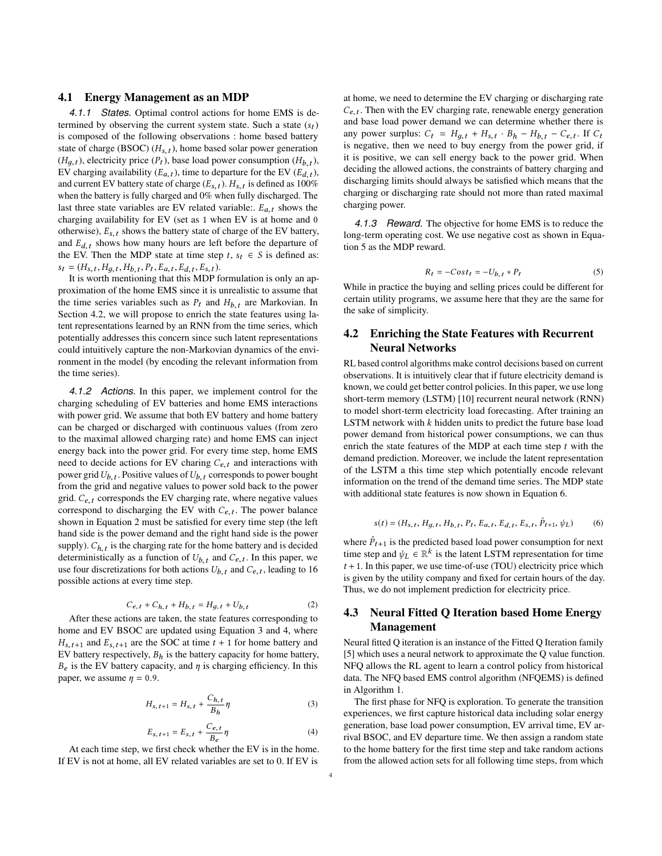#### 4.1 Energy Management as an MDP

<span id="page-3-6"></span>*4.1.1 States.* Optimal control actions for home EMS is determined by observing the current system state. Such a state  $(s_t)$ is composed of the following observations : home based battery state of charge (BSOC)  $(H_{s,t})$ , home based solar power generation  $(H_{g,t})$ , electricity price  $(P_t)$ , base load power consumption  $(H_{b,t})$ ,<br>EV charging availability  $(F_{t+1})$  time to departure for the EV  $(F_{t+1})$ EV charging availability  $(E_{d,t})$ , time to departure for the EV  $(E_{d,t})$ ,<br>and current EV battery state of charge  $(E_{d,t})$ ,  $H_{d,t}$  is defined as 100% and current EV battery state of charge  $(E_s, t)$ .  $H_{s,t}$  is defined as 100% when the battery is fully charged and  $0\%$  when fully discharged. The when the battery is fully charged and 0% when fully discharged. The last three state variables are EV related variable:.  $E_{a,t}$  shows the charging availability for EV (set as 1 when EV is at home and 0 otherwise),  $E_{s,t}$  shows the battery state of charge of the EV battery, and  $E_{d,t}$  shows how many hours are left before the departure of the EV. Then the MDP state at time step  $t, s, \in S$  is defined as: the EV. Then the MDP state at time step  $t, s_t \in S$  is defined as:  $s_t = (H_{s,t}, H_{g,t}, H_{b,t}, P_t, E_{a,t}, E_{d,t}, E_{s,t}).$ <br>It is worth mentioning that this MDP f

It is worth mentioning that this MDP formulation is only an approximation of the home EMS since it is unrealistic to assume that the time series variables such as  $P_t$  and  $H_{b,t}$  are Markovian. In Section [4.2,](#page-3-0) we will propose to enrich the state features using latent representations learned by an RNN from the time series, which potentially addresses this concern since such latent representations could intuitively capture the non-Markovian dynamics of the environment in the model (by encoding the relevant information from the time series).

*4.1.2 Actions.* In this paper, we implement control for the charging scheduling of EV batteries and home EMS interactions with power grid. We assume that both EV battery and home battery can be charged or discharged with continuous values (from zero to the maximal allowed charging rate) and home EMS can inject energy back into the power grid. For every time step, home EMS need to decide actions for EV charing  $C_{e,t}$  and interactions with power grid  $U_{b,t}$ . Positive values of  $U_{b,t}$  corresponds to power bought from the grid and negative values to power sold back to the power from the grid and negative values to power sold back to the power grid.  $C_{e,t}$  corresponds the EV charging rate, where negative values correspond to discharging the EV with  $C_{e,t}$ . The power balance<br>shown in Equation 2 must be satisfied for every time step (the left shown in Equation [2](#page-3-1) must be satisfied for every time step (the left hand side is the power demand and the right hand side is the power supply).  $C_{h,t}$  is the charging rate for the home battery and is decided deterministically as a function of  $U_{h}$ , and  $C_{h}$ . In this paper, we deterministically as a function of  $U_{b,t}$  and  $C_{e,t}$ . In this paper, we<br>use four discretizations for both actions  $U_{c}$  and  $C_{e}$ , leading to 16 use four discretizations for both actions  $U_{b,t}$  and  $C_{e,t}$ , leading to 16<br>possible actions at every time step. possible actions at every time step.

<span id="page-3-1"></span>
$$
C_{e,t} + C_{h,t} + H_{b,t} = H_{g,t} + U_{b,t}
$$
 (2)

 $C_{e,t} + C_{h,t} + H_{b,t} = H_{g,t} + U_{b,t}$  (2)<br>After these actions are taken, the state features corresponding to home and EV BSOC are updated using Equation [3](#page-3-2) and [4,](#page-3-3) where  $H_{s,t+1}$  and  $E_{s,t+1}$  are the SOC at time  $t + 1$  for home battery and EV battery respectively,  $B_h$  is the battery capacity for home battery,  $B_e$  is the EV battery capacity, and  $\eta$  is charging efficiency. In this paper, we assume  $\eta = 0.9$ .

<span id="page-3-2"></span>
$$
H_{s,t+1} = H_{s,t} + \frac{C_{h,t}}{B_h} \eta
$$
 (3)

<span id="page-3-3"></span>
$$
E_{s, t+1} = E_{s, t} + \frac{C_{e, t}}{B_e} \eta
$$
 (4)

At each time step, we first check whether the EV is in the home. If EV is not at home, all EV related variables are set to 0. If EV is

at home, we need to determine the EV charging or discharging rate and base load power demand we can determine whether there is  $C_{e,t}$ . Then with the EV charging rate, renewable energy generation any power surplus:  $C_t = H_{g,t} + H_{s,t} \cdot B_h - H_{b,t} - C_{e,t}$ . If  $C_t$ <br>is persive then we need to buy energy from the power grid if is negative, then we need to buy energy from the power grid, if it is positive, we can sell energy back to the power grid. When deciding the allowed actions, the constraints of battery charging and discharging limits should always be satisfied which means that the charging or discharging rate should not more than rated maximal charging power.

*4.1.3 Reward.* The objective for home EMS is to reduce the long-term operating cost. We use negative cost as shown in Equation [5](#page-3-4) as the MDP reward.

<span id="page-3-4"></span>
$$
R_t = -\cos t_t = -U_{b,t} * P_t \tag{5}
$$

While in practice the buying and selling prices could be different for certain utility programs, we assume here that they are the same for the sake of simplicity.

# <span id="page-3-0"></span>4.2 Enriching the State Features with Recurrent Neural Networks

RL based control algorithms make control decisions based on current observations. It is intuitively clear that if future electricity demand is known, we could get better control policies. In this paper, we use long short-term memory (LSTM) [\[10\]](#page-7-24) recurrent neural network (RNN) to model short-term electricity load forecasting. After training an LSTM network with  $k$  hidden units to predict the future base load power demand from historical power consumptions, we can thus enrich the state features of the MDP at each time step  $t$  with the demand prediction. Moreover, we include the latent representation of the LSTM a this time step which potentially encode relevant information on the trend of the demand time series. The MDP state with additional state features is now shown in Equation [6.](#page-3-5)

$$
s(t) = (H_{s,t}, H_{g,t}, H_{b,t}, P_t, E_{a,t}, E_{d,t}, E_{s,t}, \hat{P}_{t+1}, \psi_L)
$$
(6)

<span id="page-3-5"></span>where  $\hat{P}_{t+1}$  is the predicted based load power consumption for next<br>time stap and  $\psi_k \in \mathbb{R}^k$  is the latent I STM representation for time time step and  $\psi_L \in \mathbb{R}^k$  is the latent LSTM representation for time  $t+1$  In this paper we use time-of-use (TOU) electricity price which  $t + 1$ . In this paper, we use time-of-use (TOU) electricity price which is given by the utility company and fixed for certain hours of the day. Thus, we do not implement prediction for electricity price.

# <span id="page-3-7"></span>4.3 Neural Fitted Q Iteration based Home Energy Management

Neural fitted Q iteration is an instance of the Fitted Q Iteration family [\[5\]](#page-7-17) which uses a neural network to approximate the Q value function. NFQ allows the RL agent to learn a control policy from historical data. The NFQ based EMS control algorithm (NFQEMS) is defined in Algorithm [1.](#page-4-0)

The first phase for NFQ is exploration. To generate the transition experiences, we first capture historical data including solar energy generation, base load power consumption, EV arrival time, EV arrival BSOC, and EV departure time. We then assign a random state to the home battery for the first time step and take random actions from the allowed action sets for all following time steps, from which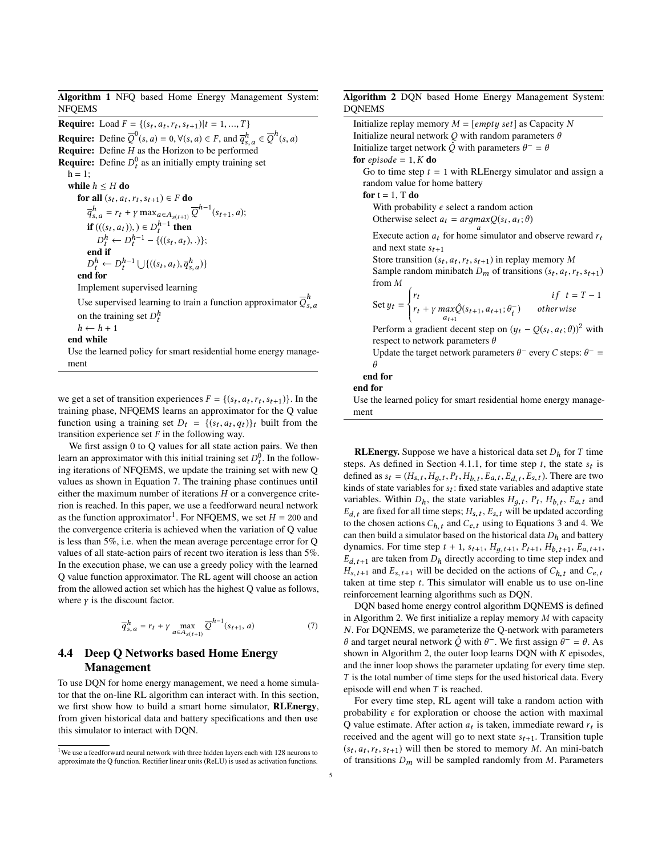<span id="page-4-0"></span>Algorithm 1 NFQ based Home Energy Management System: NFQEMS

**Require:** Load  $F = \{(s_t, a_t, r_t, s_{t+1}) | t = 1, ..., T\}$ Require: Define  $\overline{Q}^0(s, a) = 0, \forall (s, a) \in F$ , and  $\overline{q}^h_{s,a} \in \overline{Q}^h(s,a)$ <br>Require: Define H as the Horizon to be performed **Require:** Define H as the Horizon to be performed<br>**Require:** Define  $D^0$  as an initially empty training s **Require:** Define  $D_t^0$  as an initially empty training set  $h = 1$ ; while  $h \leq H$  do for all  $(s_t, a_t, r_t, s_{t+1}) \in F$  do  $, a_t, r_t, s_{t+1}) \in F$  do  $\overline{q}_{s,a}^h = r_t + \gamma \max_{a \in A_{s(t+1)}} \overline{Q}^{h-1}(s_{t+1}, a);$ **if**  $(((s_t, a_t)),$   $) \in D_t^{h-1}$ <br>  $D_t^h \leftarrow D_t^{h-1} - f((s_t, a_t))$ then  $D_t^h \leftarrow D_t^{h-1} - \{((s_t, a_t), .)\};$ <br>end if  $h_t^h \leftarrow D_t^{h-1}$  $D_t^h \leftarrow D_t^{h-1}$ <br>d for  $\bigcup \{((s_t, a_t), \overline{q}_{s,a}^h\}$ )} end for Implement supervised learning Use supervised learning to train a function approximator  $Q'_{s}$  $\ddot{\phantom{a}}$ on the training set  $D_t^h$  $h \leftarrow h + 1$ end while Use the learned policy for smart residential home energy management

we get a set of transition experiences  $F = \{(s_t, a_t, r_t, s_{t+1})\}$ . In the training phase NEOEMS learns an approximator for the O value training phase, NFQEMS learns an approximator for the Q value function using a training set  $D_t = \{(s_t, a_t, q_t)\}_t$  built from the transition experience set E in the following way. transition experience set F in the following way.<br>We first assign 0 to O values for all state act

We first assign 0 to Q values for all state action pairs. We then learn an approximator with this initial training set  $D_t^0$ . In the follow-<br>ing iterations of NEOEMS, we undate the training set with new O ing iterations of NFQEMS, we update the training set with new Q values as shown in Equation [7.](#page-4-1) The training phase continues until either the maximum number of iterations H or a convergence criterion is reached. In this paper, we use a feedforward neural network as the function approximator<sup>[1](#page-4-2)</sup>. For NFQEMS, we set  $H = 200$  and the convergence criteria is achieved when the variation of O value the convergence criteria is achieved when the variation of Q value is less than 5%, i.e. when the mean average percentage error for Q values of all state-action pairs of recent two iteration is less than 5%. In the execution phase, we can use a greedy policy with the learned Q value function approximator. The RL agent will choose an action from the allowed action set which has the highest Q value as follows, where  $\gamma$  is the discount factor.

<span id="page-4-1"></span>
$$
\overline{q}_{s,a}^{h} = r_t + \gamma \max_{a \in A_{s(t+1)}} \overline{Q}^{h-1}(s_{t+1}, a)
$$
 (7)

# 4.4 Deep Q Networks based Home Energy Management

To use DQN for home energy management, we need a home simulator that the on-line RL algorithm can interact with. In this section, we first show how to build a smart home simulator, RLEnergy, from given historical data and battery specifications and then use this simulator to interact with DQN.

### <span id="page-4-3"></span>Algorithm 2 DQN based Home Energy Management System: DQNEMS

Initialize replay memory  $M = [empty set]$  as Capacity N Initialize neural network  $Q$  with random parameters  $\theta$ Initialize target network  $\hat{Q}$  with parameters  $\theta^- = \theta$ <br>for enjoyed = 1 K do. for *episode* = 1,  $K$  do Go to time step  $t = 1$  with RLEnergy simulator and assign a random value for home battery for  $t = 1$ , T do With probability  $\epsilon$  select a random action Otherwise select  $a_t = \underset{a}{argmax} Q(s_t, a_t; \theta)$  $\sum_{i=1}^{\infty}$ Execute action  $a_t$  for home simulator and observe reward  $r_t$ <br>and next state such and next state  $s_{t+1}$ Store transition  $(s_t, a_t, r_t, s_{t+1})$  in replay memory M<br>Sample random minibatch D, of transitions  $(s_t, a_t)$ Sample random minibatch  $D_m$  of transitions  $(s_t, a_t, r_t, s_{t+1})$ <br>from M from M Set  $y_t = \begin{cases} \end{cases}$  $\frac{1}{a}$  $r_t$  if  $t = T - 1$  $r_t + \gamma \max_{a_{t+1}} \hat{Q}(s_{t+1}, a_{t+1}; \theta_i^{-})$  $\binom{(-)}{i}$  otherwise Perform a gradient decent step on  $(y_t - Q(s_t, a_t; \theta))^2$  with respect to network parameters  $\theta$ Update the target network parameters  $\theta^-$  every C steps:  $\theta^-$  = end for end for Use the learned policy for smart residential home energy management

**RLEnergy.** Suppose we have a historical data set  $D_h$  for T time steps. As defined in Section [4.1.1,](#page-3-6) for time step t, the state  $s_t$  is<br>defined as  $s_t = (H_t + H_t + P_t + H_t + F_t + F_t + F_t)$ . There are two defined as  $s_t = (H_{s,t}, H_{g,t}, P_t, H_{b,t}, E_{a,t}, E_{d,t}, E_{s,t})$ . There are two<br>kinds of state variables for s.: fixed state variables and adaptive state kinds of state variables for s<sub>t</sub>; i.e.,  $\frac{1}{2}$ ,  $\frac{1}{2}$ ,  $\frac{1}{2}$ ,  $\frac{1}{2}$ ,  $\frac{1}{2}$ ,  $\frac{1}{2}$ ,  $\frac{1}{2}$ ,  $\frac{1}{2}$ ,  $\frac{1}{2}$ ,  $\frac{1}{2}$ ,  $\frac{1}{2}$ ,  $\frac{1}{2}$ ,  $\frac{1}{2}$ ,  $\frac{1}{2}$ ,  $\frac{1}{2}$ ,  $\frac{1}{2}$ ,  $\frac{$ variables. Within  $D_h$ , the state variables  $H_{g,t}$ ,  $P_t$ ,  $H_{b,t}$ ,  $E_{a,t}$  and  $E_{t}$ , are fixed for all time steps:  $H_{t}$ ,  $E_{t}$ , will be undated according  $E_{d,t}$  are fixed for all time steps;  $H_{s,t}$ ,  $E_{s,t}$  will be updated according<br>to the chosen actions  $C_{t}$ , and  $C_{t}$ , using to Equations 3 and 4. We to the chosen actions  $C_{h,t}$  and  $C_{e,t}$  using to Equations [3](#page-3-2) and [4.](#page-3-3) We can then build a simulator based on the historical data  $D<sub>h</sub>$  and battery dynamics. For time step  $t + 1$ ,  $s_{t+1}$ ,  $H_{g,t+1}$ ,  $P_{t+1}$ ,  $H_{b,t+1}$ ,  $E_{a,t+1}$ ,  $F_{s}$ , are taken from D, directly according to time step index and  $E_{d,t+1}$  are taken from  $D_h$  directly according to time step index and  $H_{s,t+1}$  and  $E_{s,t+1}$  will be decided on the actions of  $C_{h,t}$  and  $C_{e,t}$ taken at time step  $t$ . This simulator will enable us to use on-line reinforcement learning algorithms such as DQN.

DQN based home energy control algorithm DQNEMS is defined in Algorithm [2.](#page-4-3) We first initialize a replay memory  $M$  with capacity N. For DQNEMS, we parameterize the Q-network with parameters θ and target neural network  $\hat{Q}$  with θ<sup>-</sup>. We first assign θ<sup>-</sup> = θ. As shown in Algorithm [2,](#page-4-3) the outer loop learns DON with  $K$  episodes, and the inner loop shows the parameter updating for every time step.  $T$  is the total number of time steps for the used historical data. Every episode will end when T is reached.

For every time step, RL agent will take a random action with probability  $\epsilon$  for exploration or choose the action with maximal Q value estimate. After action  $a_t$  is taken, immediate reward  $r_t$  is received and the agent will go to next state  $s_t$ . Transition tuple received and the agent will go to next state  $s_{t+1}$ . Transition tuple  $(s_t, a_t, r_t, s_{t+1})$  will then be stored to memory M. An mini-batch<br>of transitions D, will be sampled randomly from M. Parameters for transitions  $D_m$  will be sampled randomly from M. Parameters

<span id="page-4-2"></span><sup>&</sup>lt;sup>1</sup>We use a feedforward neural network with three hidden layers each with 128 neurons to approximate the Q function. Rectifier linear units (ReLU) is used as activation functions.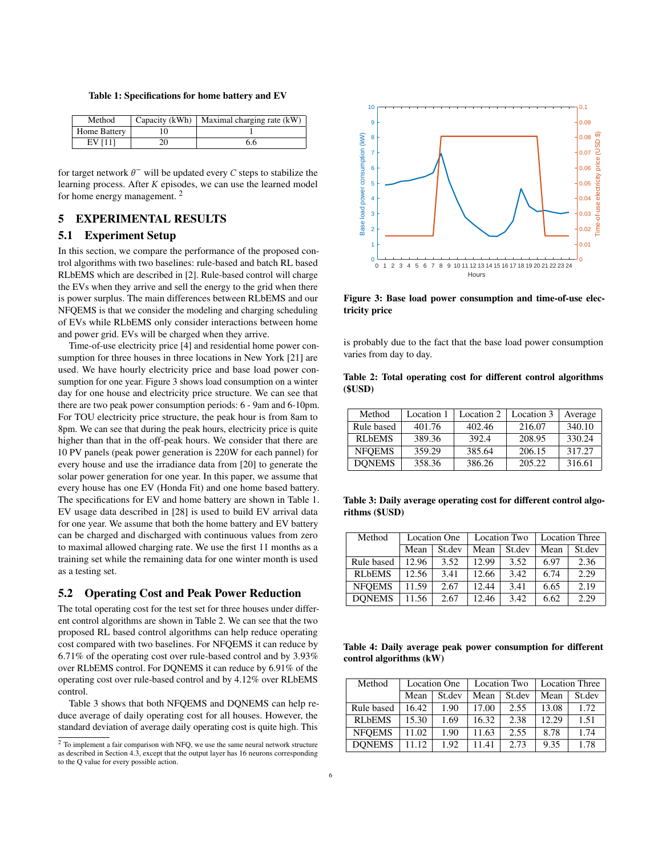<span id="page-5-3"></span>

| Table 1: Specifications for home battery and EV |
|-------------------------------------------------|
|-------------------------------------------------|

| Method       | Capacity (kWh)   Maximal charging rate (kW) |
|--------------|---------------------------------------------|
| Home Battery |                                             |
| EV [11]      | 6.6                                         |

for target network  $\theta^-$  will be updated every C steps to stabilize the learning process. After K episodes, we can use the learned model learning process. After K episodes, we can use the learned model for home energy management. [2](#page-5-1)

# <span id="page-5-0"></span>5 EXPERIMENTAL RESULTS

### 5.1 Experiment Setup

In this section, we compare the performance of the proposed control algorithms with two baselines: rule-based and batch RL based RLbEMS which are described in [\[2\]](#page-7-10). Rule-based control will charge the EVs when they arrive and sell the energy to the grid when there is power surplus. The main differences between RLbEMS and our NFQEMS is that we consider the modeling and charging scheduling of EVs while RLbEMS only consider interactions between home and power grid. EVs will be charged when they arrive.

Time-of-use electricity price [\[4\]](#page-7-25) and residential home power consumption for three houses in three locations in New York [\[21\]](#page-7-26) are used. We have hourly electricity price and base load power consumption for one year. Figure [3](#page-5-2) shows load consumption on a winter day for one house and electricity price structure. We can see that there are two peak power consumption periods: 6 - 9am and 6-10pm. For TOU electricity price structure, the peak hour is from 8am to 8pm. We can see that during the peak hours, electricity price is quite higher than that in the off-peak hours. We consider that there are 10 PV panels (peak power generation is 220W for each pannel) for every house and use the irradiance data from [\[20\]](#page-7-27) to generate the solar power generation for one year. In this paper, we assume that every house has one EV (Honda Fit) and one home based battery. The specifications for EV and home battery are shown in Table [1.](#page-5-3) EV usage data described in [\[28\]](#page-7-21) is used to build EV arrival data for one year. We assume that both the home battery and EV battery can be charged and discharged with continuous values from zero to maximal allowed charging rate. We use the first 11 months as a training set while the remaining data for one winter month is used as a testing set.

## 5.2 Operating Cost and Peak Power Reduction

The total operating cost for the test set for three houses under different control algorithms are shown in Table [2.](#page-5-4) We can see that the two proposed RL based control algorithms can help reduce operating cost compared with two baselines. For NFQEMS it can reduce by 6.71% of the operating cost over rule-based control and by 3.93% over RLbEMS control. For DQNEMS it can reduce by 6.91% of the operating cost over rule-based control and by 4.12% over RLbEMS control.

Table [3](#page-5-5) shows that both NFQEMS and DQNEMS can help reduce average of daily operating cost for all houses. However, the standard deviation of average daily operating cost is quite high. This

<span id="page-5-2"></span>

Figure 3: Base load power consumption and time-of-use electricity price

is probably due to the fact that the base load power consumption varies from day to day.

<span id="page-5-4"></span>Table 2: Total operating cost for different control algorithms (\$USD)

| Method        | Location 1 | Location 2 | Location 3 | Average |
|---------------|------------|------------|------------|---------|
| Rule based    | 401.76     | 402.46     | 216.07     | 340.10  |
| <b>RLbEMS</b> | 389.36     | 392.4      | 208.95     | 330.24  |
| <b>NFOEMS</b> | 359.29     | 385.64     | 206.15     | 317.27  |
| <b>DONEMS</b> | 358.36     | 386.26     | 205.22     | 316.61  |

<span id="page-5-5"></span>Table 3: Daily average operating cost for different control algorithms (\$USD)

| Method        | <b>Location One</b> |        | <b>Location Two</b> |        | <b>Location Three</b> |        |
|---------------|---------------------|--------|---------------------|--------|-----------------------|--------|
|               | Mean                | St.dev | Mean                | St.dev | Mean                  | St.dev |
| Rule based    | 12.96               | 3.52   | 12.99               | 3.52   | 6.97                  | 2.36   |
| <b>RLbEMS</b> | 12.56               | 3.41   | 12.66               | 3.42   | 6.74                  | 2.29   |
| <b>NFOEMS</b> | 11.59               | 2.67   | 12.44               | 3.41   | 6.65                  | 2.19   |
| <b>DONEMS</b> | 11.56               | 2.67   | 12.46               | 3.42   | 6.62                  | 2.29   |

<span id="page-5-6"></span>Table 4: Daily average peak power consumption for different control algorithms (kW)

| Method        | <b>Location One</b> |        | <b>Location Two</b> |        | <b>Location Three</b> |        |
|---------------|---------------------|--------|---------------------|--------|-----------------------|--------|
|               | Mean                | St.dev | Mean                | St.dev | Mean                  | St.dev |
| Rule based    | 16.42               | 1.90   | 17.00               | 2.55   | 13.08                 | 1.72.  |
| <b>RLbEMS</b> | 15.30               | 1.69   | 16.32               | 2.38   | 12.29                 | 1.51   |
| <b>NFOEMS</b> | 11.02               | 1.90   | 11.63               | 2.55   | 8.78                  | 1.74   |
| <b>DONEMS</b> | 11.12               | 1.92   | 11.41               | 2.73   | 9.35                  | 1.78   |

<span id="page-5-1"></span> $2$  To implement a fair comparison with NFQ, we use the same neural network structure as described in Section [4.3,](#page-3-7) except that the output layer has 16 neurons corresponding to the Q value for every possible action.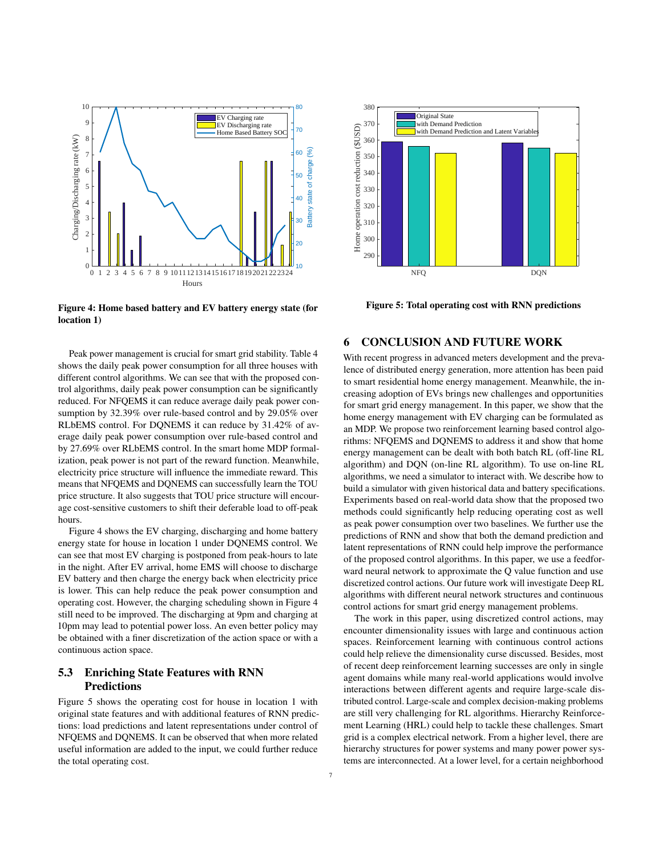<span id="page-6-1"></span>

Figure 4: Home based battery and EV battery energy state (for location 1)

Peak power management is crucial for smart grid stability. Table [4](#page-5-6) shows the daily peak power consumption for all three houses with different control algorithms. We can see that with the proposed control algorithms, daily peak power consumption can be significantly reduced. For NFQEMS it can reduce average daily peak power consumption by 32.39% over rule-based control and by 29.05% over RLbEMS control. For DQNEMS it can reduce by 31.42% of average daily peak power consumption over rule-based control and by 27.69% over RLbEMS control. In the smart home MDP formalization, peak power is not part of the reward function. Meanwhile, electricity price structure will influence the immediate reward. This means that NFQEMS and DQNEMS can successfully learn the TOU price structure. It also suggests that TOU price structure will encourage cost-sensitive customers to shift their deferable load to off-peak hours.

Figure [4](#page-6-1) shows the EV charging, discharging and home battery energy state for house in location 1 under DQNEMS control. We can see that most EV charging is postponed from peak-hours to late in the night. After EV arrival, home EMS will choose to discharge EV battery and then charge the energy back when electricity price is lower. This can help reduce the peak power consumption and operating cost. However, the charging scheduling shown in Figure [4](#page-6-1) still need to be improved. The discharging at 9pm and charging at 10pm may lead to potential power loss. An even better policy may be obtained with a finer discretization of the action space or with a continuous action space.

# 5.3 Enriching State Features with RNN Predictions

Figure [5](#page-6-2) shows the operating cost for house in location 1 with original state features and with additional features of RNN predictions: load predictions and latent representations under control of NFQEMS and DQNEMS. It can be observed that when more related useful information are added to the input, we could further reduce the total operating cost.

<span id="page-6-2"></span>

Figure 5: Total operating cost with RNN predictions

# <span id="page-6-0"></span>6 CONCLUSION AND FUTURE WORK

With recent progress in advanced meters development and the prevalence of distributed energy generation, more attention has been paid to smart residential home energy management. Meanwhile, the increasing adoption of EVs brings new challenges and opportunities for smart grid energy management. In this paper, we show that the home energy management with EV charging can be formulated as an MDP. We propose two reinforcement learning based control algorithms: NFQEMS and DQNEMS to address it and show that home energy management can be dealt with both batch RL (off-line RL algorithm) and DQN (on-line RL algorithm). To use on-line RL algorithms, we need a simulator to interact with. We describe how to build a simulator with given historical data and battery specifications. Experiments based on real-world data show that the proposed two methods could significantly help reducing operating cost as well as peak power consumption over two baselines. We further use the predictions of RNN and show that both the demand prediction and latent representations of RNN could help improve the performance of the proposed control algorithms. In this paper, we use a feedforward neural network to approximate the Q value function and use discretized control actions. Our future work will investigate Deep RL algorithms with different neural network structures and continuous control actions for smart grid energy management problems.

The work in this paper, using discretized control actions, may encounter dimensionality issues with large and continuous action spaces. Reinforcement learning with continuous control actions could help relieve the dimensionality curse discussed. Besides, most of recent deep reinforcement learning successes are only in single agent domains while many real-world applications would involve interactions between different agents and require large-scale distributed control. Large-scale and complex decision-making problems are still very challenging for RL algorithms. Hierarchy Reinforcement Learning (HRL) could help to tackle these challenges. Smart grid is a complex electrical network. From a higher level, there are hierarchy structures for power systems and many power power systems are interconnected. At a lower level, for a certain neighborhood